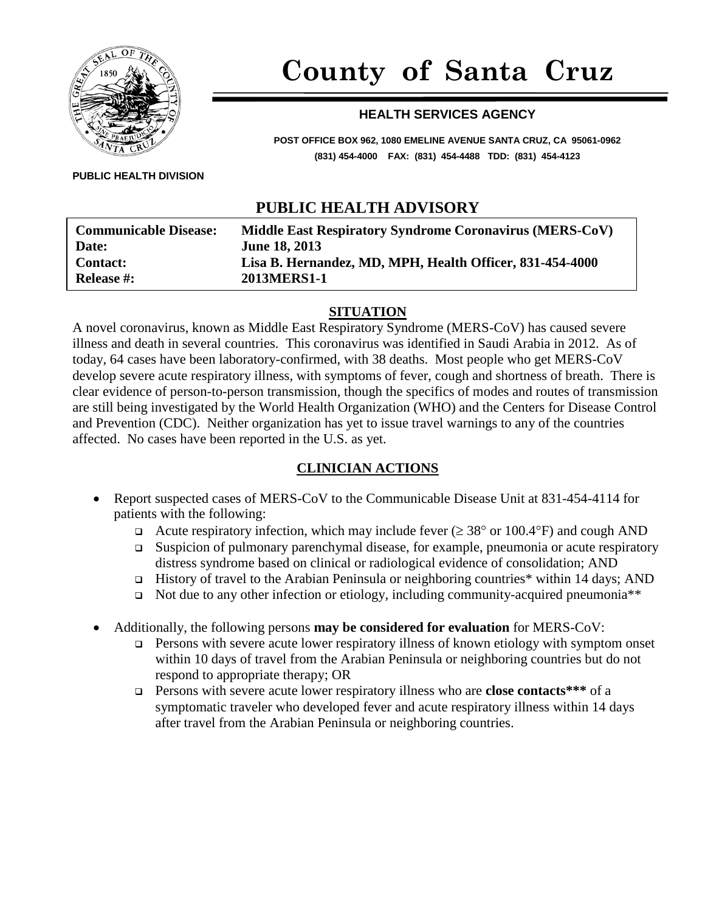

# **County of Santa Cruz**

#### **HEALTH SERVICES AGENCY**

**POST OFFICE BOX 962, 1080 EMELINE AVENUE SANTA CRUZ, CA 95061-0962 (831) 454-4000 FAX: (831) 454-4488 TDD: (831) 454-4123**

**PUBLIC HEALTH DIVISION**

## **PUBLIC HEALTH ADVISORY**

| <b>Communicable Disease:</b><br><b>Date:</b> | Middle East Respiratory Syndrome Coronavirus (MERS-CoV)<br><b>June 18, 2013</b> |
|----------------------------------------------|---------------------------------------------------------------------------------|
| <b>Contact:</b>                              | Lisa B. Hernandez, MD, MPH, Health Officer, 831-454-4000                        |
| <b>Release #:</b>                            | 2013MERS1-1                                                                     |
|                                              |                                                                                 |

#### **SITUATION**

A novel coronavirus, known as Middle East Respiratory Syndrome (MERS-CoV) has caused severe illness and death in several countries. This coronavirus was identified in Saudi Arabia in 2012. As of today, 64 cases have been laboratory-confirmed, with 38 deaths. Most people who get MERS-CoV develop severe acute respiratory illness, with symptoms of fever, cough and shortness of breath. There is clear evidence of person-to-person transmission, though the specifics of modes and routes of transmission are still being investigated by the World Health Organization (WHO) and the Centers for Disease Control and Prevention (CDC). Neither organization has yet to issue travel warnings to any of the countries affected. No cases have been reported in the U.S. as yet.

#### **CLINICIAN ACTIONS**

- Report suspected cases of MERS-CoV to the Communicable Disease Unit at 831-454-4114 for patients with the following:
	- Acute respiratory infection, which may include fever  $(\geq 38^{\circ} \text{ or } 100.4^{\circ} \text{F})$  and cough AND
	- Suspicion of pulmonary parenchymal disease, for example, pneumonia or acute respiratory distress syndrome based on clinical or radiological evidence of consolidation; AND
	- History of travel to the Arabian Peninsula or neighboring countries\* within 14 days; AND
	- □ Not due to any other infection or etiology, including community-acquired pneumonia\*\*
- Additionally, the following persons **may be considered for evaluation** for MERS-CoV:
	- **Persons with severe acute lower respiratory illness of known etiology with symptom onset** within 10 days of travel from the Arabian Peninsula or neighboring countries but do not respond to appropriate therapy; OR
	- Persons with severe acute lower respiratory illness who are **close contacts\*\*\*** of a symptomatic traveler who developed fever and acute respiratory illness within 14 days after travel from the Arabian Peninsula or neighboring countries.